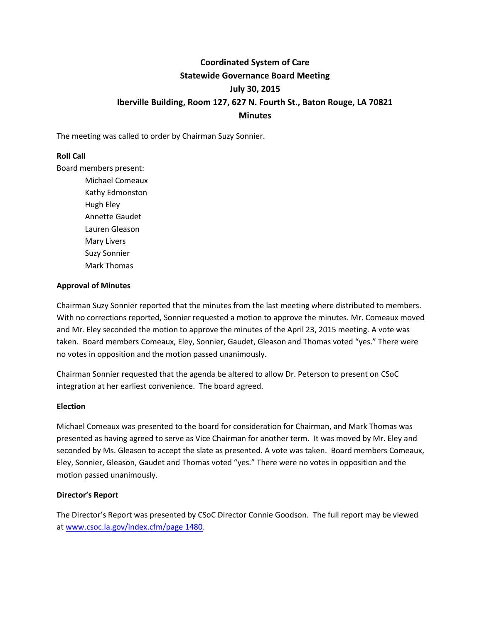# **Coordinated System of Care Statewide Governance Board Meeting July 30, 2015 Iberville Building, Room 127, 627 N. Fourth St., Baton Rouge, LA 70821 Minutes**

The meeting was called to order by Chairman Suzy Sonnier.

# **Roll Call**

Board members present:

Michael Comeaux Kathy Edmonston Hugh Eley Annette Gaudet Lauren Gleason Mary Livers Suzy Sonnier Mark Thomas

# **Approval of Minutes**

Chairman Suzy Sonnier reported that the minutes from the last meeting where distributed to members. With no corrections reported, Sonnier requested a motion to approve the minutes. Mr. Comeaux moved and Mr. Eley seconded the motion to approve the minutes of the April 23, 2015 meeting. A vote was taken. Board members Comeaux, Eley, Sonnier, Gaudet, Gleason and Thomas voted "yes." There were no votes in opposition and the motion passed unanimously.

Chairman Sonnier requested that the agenda be altered to allow Dr. Peterson to present on CSoC integration at her earliest convenience. The board agreed.

# **Election**

Michael Comeaux was presented to the board for consideration for Chairman, and Mark Thomas was presented as having agreed to serve as Vice Chairman for another term. It was moved by Mr. Eley and seconded by Ms. Gleason to accept the slate as presented. A vote was taken. Board members Comeaux, Eley, Sonnier, Gleason, Gaudet and Thomas voted "yes." There were no votes in opposition and the motion passed unanimously.

# **Director's Report**

The Director's Report was presented by CSoC Director Connie Goodson. The full report may be viewed a[t www.csoc.la.gov/index.cfm/page 1480.](http://www.csoc.la.gov/index.cfm/page%201480)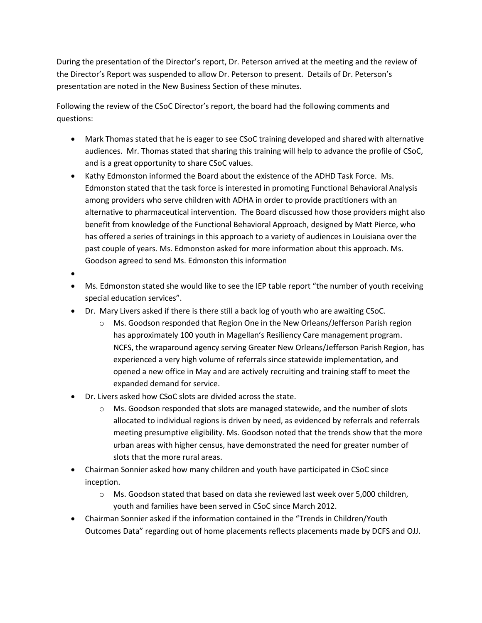During the presentation of the Director's report, Dr. Peterson arrived at the meeting and the review of the Director's Report was suspended to allow Dr. Peterson to present. Details of Dr. Peterson's presentation are noted in the New Business Section of these minutes.

Following the review of the CSoC Director's report, the board had the following comments and questions:

- Mark Thomas stated that he is eager to see CSoC training developed and shared with alternative audiences. Mr. Thomas stated that sharing this training will help to advance the profile of CSoC, and is a great opportunity to share CSoC values.
- Kathy Edmonston informed the Board about the existence of the ADHD Task Force. Ms. Edmonston stated that the task force is interested in promoting Functional Behavioral Analysis among providers who serve children with ADHA in order to provide practitioners with an alternative to pharmaceutical intervention. The Board discussed how those providers might also benefit from knowledge of the Functional Behavioral Approach, designed by Matt Pierce, who has offered a series of trainings in this approach to a variety of audiences in Louisiana over the past couple of years. Ms. Edmonston asked for more information about this approach. Ms. Goodson agreed to send Ms. Edmonston this information
- $\bullet$
- Ms. Edmonston stated she would like to see the IEP table report "the number of youth receiving special education services".
- Dr. Mary Livers asked if there is there still a back log of youth who are awaiting CSoC.
	- Ms. Goodson responded that Region One in the New Orleans/Jefferson Parish region has approximately 100 youth in Magellan's Resiliency Care management program. NCFS, the wraparound agency serving Greater New Orleans/Jefferson Parish Region, has experienced a very high volume of referrals since statewide implementation, and opened a new office in May and are actively recruiting and training staff to meet the expanded demand for service.
- Dr. Livers asked how CSoC slots are divided across the state.
	- $\circ$  Ms. Goodson responded that slots are managed statewide, and the number of slots allocated to individual regions is driven by need, as evidenced by referrals and referrals meeting presumptive eligibility. Ms. Goodson noted that the trends show that the more urban areas with higher census, have demonstrated the need for greater number of slots that the more rural areas.
- Chairman Sonnier asked how many children and youth have participated in CSoC since inception.
	- o Ms. Goodson stated that based on data she reviewed last week over 5,000 children, youth and families have been served in CSoC since March 2012.
- Chairman Sonnier asked if the information contained in the "Trends in Children/Youth Outcomes Data" regarding out of home placements reflects placements made by DCFS and OJJ.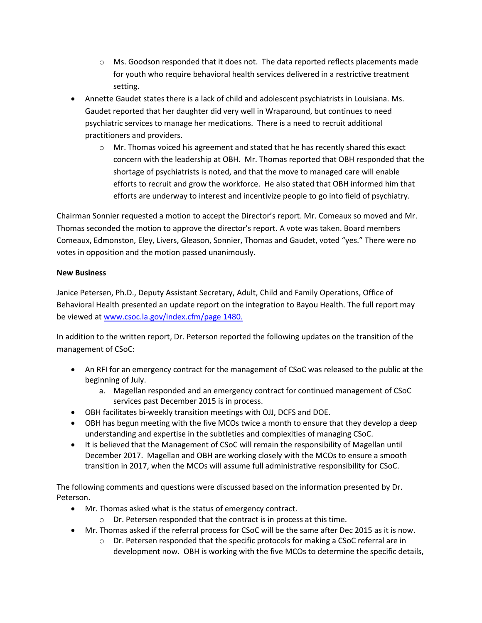- $\circ$  Ms. Goodson responded that it does not. The data reported reflects placements made for youth who require behavioral health services delivered in a restrictive treatment setting.
- Annette Gaudet states there is a lack of child and adolescent psychiatrists in Louisiana. Ms. Gaudet reported that her daughter did very well in Wraparound, but continues to need psychiatric services to manage her medications. There is a need to recruit additional practitioners and providers.
	- $\circ$  Mr. Thomas voiced his agreement and stated that he has recently shared this exact concern with the leadership at OBH. Mr. Thomas reported that OBH responded that the shortage of psychiatrists is noted, and that the move to managed care will enable efforts to recruit and grow the workforce. He also stated that OBH informed him that efforts are underway to interest and incentivize people to go into field of psychiatry.

Chairman Sonnier requested a motion to accept the Director's report. Mr. Comeaux so moved and Mr. Thomas seconded the motion to approve the director's report. A vote was taken. Board members Comeaux, Edmonston, Eley, Livers, Gleason, Sonnier, Thomas and Gaudet, voted "yes." There were no votes in opposition and the motion passed unanimously.

# **New Business**

Janice Petersen, Ph.D., Deputy Assistant Secretary, Adult, Child and Family Operations, Office of Behavioral Health presented an update report on the integration to Bayou Health. The full report may be viewed at [www.csoc.la.gov/index.cfm/page 1480.](file:///E:/www.csoc.la.gov/index.cfm/page%201480)

In addition to the written report, Dr. Peterson reported the following updates on the transition of the management of CSoC:

- An RFI for an emergency contract for the management of CSoC was released to the public at the beginning of July.
	- a. Magellan responded and an emergency contract for continued management of CSoC services past December 2015 is in process.
- OBH facilitates bi-weekly transition meetings with OJJ, DCFS and DOE.
- OBH has begun meeting with the five MCOs twice a month to ensure that they develop a deep understanding and expertise in the subtleties and complexities of managing CSoC.
- It is believed that the Management of CSoC will remain the responsibility of Magellan until December 2017. Magellan and OBH are working closely with the MCOs to ensure a smooth transition in 2017, when the MCOs will assume full administrative responsibility for CSoC.

The following comments and questions were discussed based on the information presented by Dr. Peterson.

- Mr. Thomas asked what is the status of emergency contract.
	- o Dr. Petersen responded that the contract is in process at this time.
- Mr. Thomas asked if the referral process for CSoC will be the same after Dec 2015 as it is now.
	- $\circ$  Dr. Petersen responded that the specific protocols for making a CSoC referral are in development now. OBH is working with the five MCOs to determine the specific details,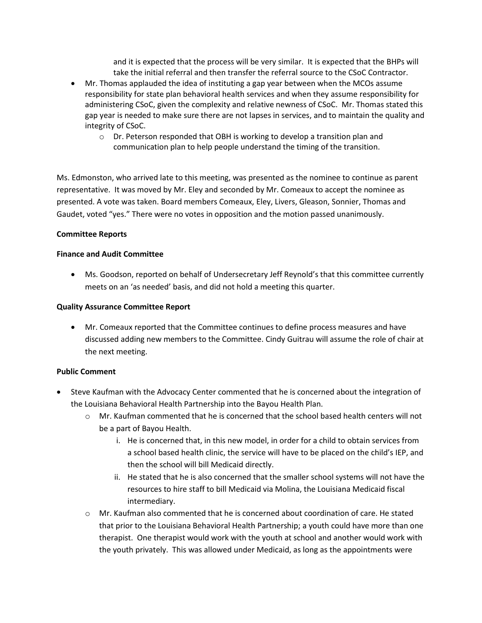and it is expected that the process will be very similar. It is expected that the BHPs will take the initial referral and then transfer the referral source to the CSoC Contractor.

- Mr. Thomas applauded the idea of instituting a gap year between when the MCOs assume responsibility for state plan behavioral health services and when they assume responsibility for administering CSoC, given the complexity and relative newness of CSoC. Mr. Thomas stated this gap year is needed to make sure there are not lapses in services, and to maintain the quality and integrity of CSoC.
	- $\circ$  Dr. Peterson responded that OBH is working to develop a transition plan and communication plan to help people understand the timing of the transition.

Ms. Edmonston, who arrived late to this meeting, was presented as the nominee to continue as parent representative. It was moved by Mr. Eley and seconded by Mr. Comeaux to accept the nominee as presented. A vote was taken. Board members Comeaux, Eley, Livers, Gleason, Sonnier, Thomas and Gaudet, voted "yes." There were no votes in opposition and the motion passed unanimously.

#### **Committee Reports**

# **Finance and Audit Committee**

 Ms. Goodson, reported on behalf of Undersecretary Jeff Reynold's that this committee currently meets on an 'as needed' basis, and did not hold a meeting this quarter.

#### **Quality Assurance Committee Report**

 Mr. Comeaux reported that the Committee continues to define process measures and have discussed adding new members to the Committee. Cindy Guitrau will assume the role of chair at the next meeting.

# **Public Comment**

- Steve Kaufman with the Advocacy Center commented that he is concerned about the integration of the Louisiana Behavioral Health Partnership into the Bayou Health Plan.
	- o Mr. Kaufman commented that he is concerned that the school based health centers will not be a part of Bayou Health.
		- i. He is concerned that, in this new model, in order for a child to obtain services from a school based health clinic, the service will have to be placed on the child's IEP, and then the school will bill Medicaid directly.
		- ii. He stated that he is also concerned that the smaller school systems will not have the resources to hire staff to bill Medicaid via Molina, the Louisiana Medicaid fiscal intermediary.
	- o Mr. Kaufman also commented that he is concerned about coordination of care. He stated that prior to the Louisiana Behavioral Health Partnership; a youth could have more than one therapist. One therapist would work with the youth at school and another would work with the youth privately. This was allowed under Medicaid, as long as the appointments were